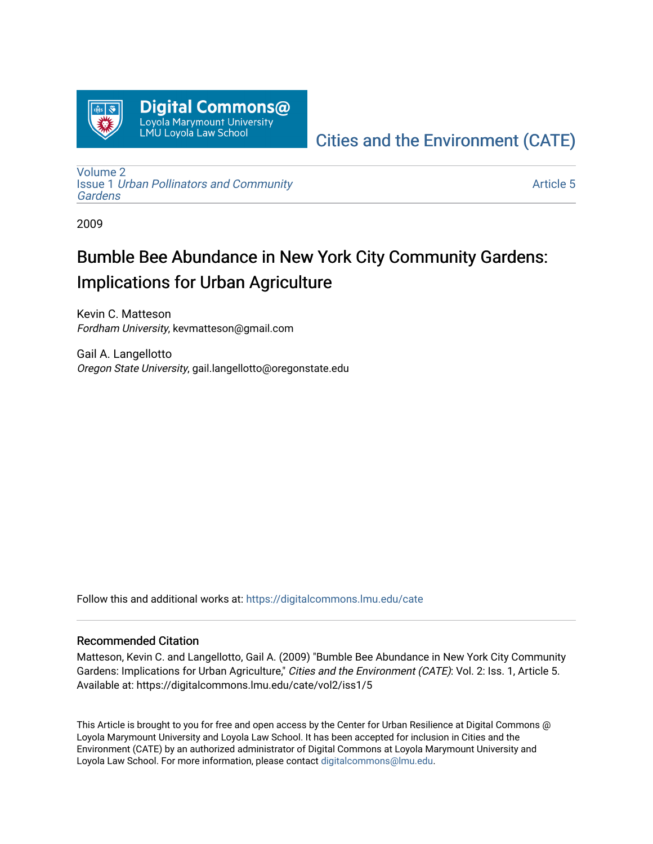

## [Cities and the Environment \(CATE\)](https://digitalcommons.lmu.edu/cate)

[Volume 2](https://digitalcommons.lmu.edu/cate/vol2) Issue 1 [Urban Pollinators and Community](https://digitalcommons.lmu.edu/cate/vol2/iss1)  [Gardens](https://digitalcommons.lmu.edu/cate/vol2/iss1) 

[Article 5](https://digitalcommons.lmu.edu/cate/vol2/iss1/5) 

2009

# Bumble Bee Abundance in New York City Community Gardens: Implications for Urban Agriculture

Kevin C. Matteson Fordham University, kevmatteson@gmail.com

Gail A. Langellotto Oregon State University, gail.langellotto@oregonstate.edu

Follow this and additional works at: [https://digitalcommons.lmu.edu/cate](https://digitalcommons.lmu.edu/cate?utm_source=digitalcommons.lmu.edu%2Fcate%2Fvol2%2Fiss1%2F5&utm_medium=PDF&utm_campaign=PDFCoverPages) 

#### Recommended Citation

Matteson, Kevin C. and Langellotto, Gail A. (2009) "Bumble Bee Abundance in New York City Community Gardens: Implications for Urban Agriculture," Cities and the Environment (CATE): Vol. 2: Iss. 1, Article 5. Available at: https://digitalcommons.lmu.edu/cate/vol2/iss1/5

This Article is brought to you for free and open access by the Center for Urban Resilience at Digital Commons @ Loyola Marymount University and Loyola Law School. It has been accepted for inclusion in Cities and the Environment (CATE) by an authorized administrator of Digital Commons at Loyola Marymount University and Loyola Law School. For more information, please contact [digitalcommons@lmu.edu](mailto:digitalcommons@lmu.edu).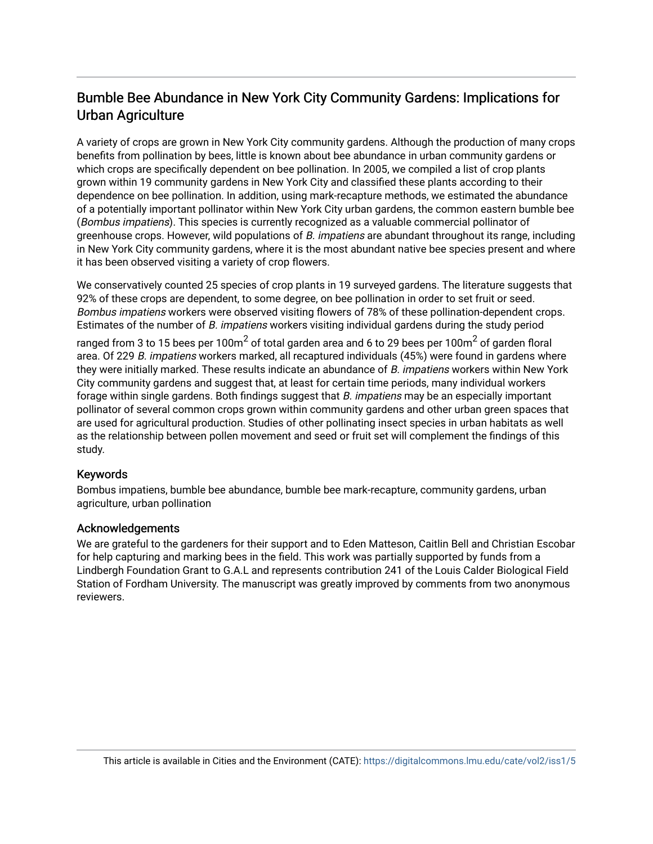## Bumble Bee Abundance in New York City Community Gardens: Implications for Urban Agriculture

A variety of crops are grown in New York City community gardens. Although the production of many crops benefits from pollination by bees, little is known about bee abundance in urban community gardens or which crops are specifically dependent on bee pollination. In 2005, we compiled a list of crop plants grown within 19 community gardens in New York City and classified these plants according to their dependence on bee pollination. In addition, using mark-recapture methods, we estimated the abundance of a potentially important pollinator within New York City urban gardens, the common eastern bumble bee (Bombus impatiens). This species is currently recognized as a valuable commercial pollinator of greenhouse crops. However, wild populations of B. impatiens are abundant throughout its range, including in New York City community gardens, where it is the most abundant native bee species present and where it has been observed visiting a variety of crop flowers.

We conservatively counted 25 species of crop plants in 19 surveyed gardens. The literature suggests that 92% of these crops are dependent, to some degree, on bee pollination in order to set fruit or seed. Bombus impatiens workers were observed visiting flowers of 78% of these pollination-dependent crops. Estimates of the number of B. impatiens workers visiting individual gardens during the study period

ranged from 3 to 15 bees per 100m $^2$  of total garden area and 6 to 29 bees per 100m $^2$  of garden floral area. Of 229 B. impatiens workers marked, all recaptured individuals (45%) were found in gardens where they were initially marked. These results indicate an abundance of B. impatiens workers within New York City community gardens and suggest that, at least for certain time periods, many individual workers forage within single gardens. Both findings suggest that B. impatiens may be an especially important pollinator of several common crops grown within community gardens and other urban green spaces that are used for agricultural production. Studies of other pollinating insect species in urban habitats as well as the relationship between pollen movement and seed or fruit set will complement the findings of this study.

#### Keywords

Bombus impatiens, bumble bee abundance, bumble bee mark-recapture, community gardens, urban agriculture, urban pollination

#### Acknowledgements

We are grateful to the gardeners for their support and to Eden Matteson, Caitlin Bell and Christian Escobar for help capturing and marking bees in the field. This work was partially supported by funds from a Lindbergh Foundation Grant to G.A.L and represents contribution 241 of the Louis Calder Biological Field Station of Fordham University. The manuscript was greatly improved by comments from two anonymous reviewers.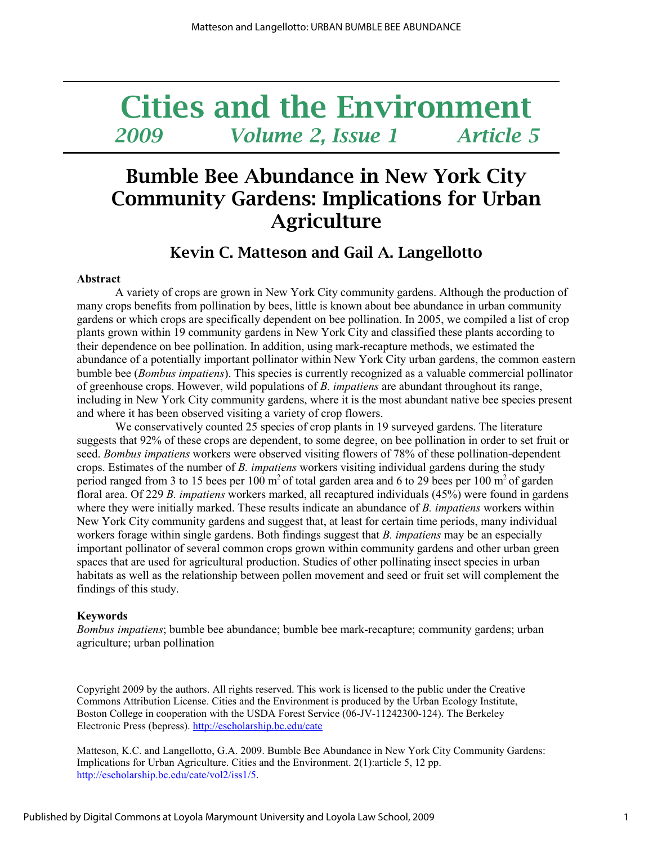# Cities and the Environment 2009 Volume 2, Issue 1 Article 5

## Bumble Bee Abundance in New York City Community Gardens: Implications for Urban **Agriculture**

### Kevin C. Matteson and Gail A. Langellotto

#### Abstract

A variety of crops are grown in New York City community gardens. Although the production of many crops benefits from pollination by bees, little is known about bee abundance in urban community gardens or which crops are specifically dependent on bee pollination. In 2005, we compiled a list of crop plants grown within 19 community gardens in New York City and classified these plants according to their dependence on bee pollination. In addition, using mark-recapture methods, we estimated the abundance of a potentially important pollinator within New York City urban gardens, the common eastern bumble bee (Bombus impatiens). This species is currently recognized as a valuable commercial pollinator of greenhouse crops. However, wild populations of B. impatiens are abundant throughout its range, including in New York City community gardens, where it is the most abundant native bee species present and where it has been observed visiting a variety of crop flowers.

We conservatively counted 25 species of crop plants in 19 surveyed gardens. The literature suggests that 92% of these crops are dependent, to some degree, on bee pollination in order to set fruit or seed. Bombus impatiens workers were observed visiting flowers of 78% of these pollination-dependent crops. Estimates of the number of B. *impatiens* workers visiting individual gardens during the study period ranged from 3 to 15 bees per 100  $m<sup>2</sup>$  of total garden area and 6 to 29 bees per 100  $m<sup>2</sup>$  of garden floral area. Of 229 B. *impatiens* workers marked, all recaptured individuals (45%) were found in gardens where they were initially marked. These results indicate an abundance of B. *impatiens* workers within New York City community gardens and suggest that, at least for certain time periods, many individual workers forage within single gardens. Both findings suggest that *B. impatiens* may be an especially important pollinator of several common crops grown within community gardens and other urban green spaces that are used for agricultural production. Studies of other pollinating insect species in urban habitats as well as the relationship between pollen movement and seed or fruit set will complement the findings of this study.

#### Keywords

Bombus impatiens; bumble bee abundance; bumble bee mark-recapture; community gardens; urban agriculture; urban pollination

Copyright 2009 by the authors. All rights reserved. This work is licensed to the public under the Creative Commons Attribution License. Cities and the Environment is produced by the Urban Ecology Institute, Boston College in cooperation with the USDA Forest Service (06-JV-11242300-124). The Berkeley Electronic Press (bepress). http://escholarship.bc.edu/cate

Matteson, K.C. and Langellotto, G.A. 2009. Bumble Bee Abundance in New York City Community Gardens: Implications for Urban Agriculture. Cities and the Environment. 2(1):article 5, 12 pp. http://escholarship.bc.edu/cate/vol2/iss1/5.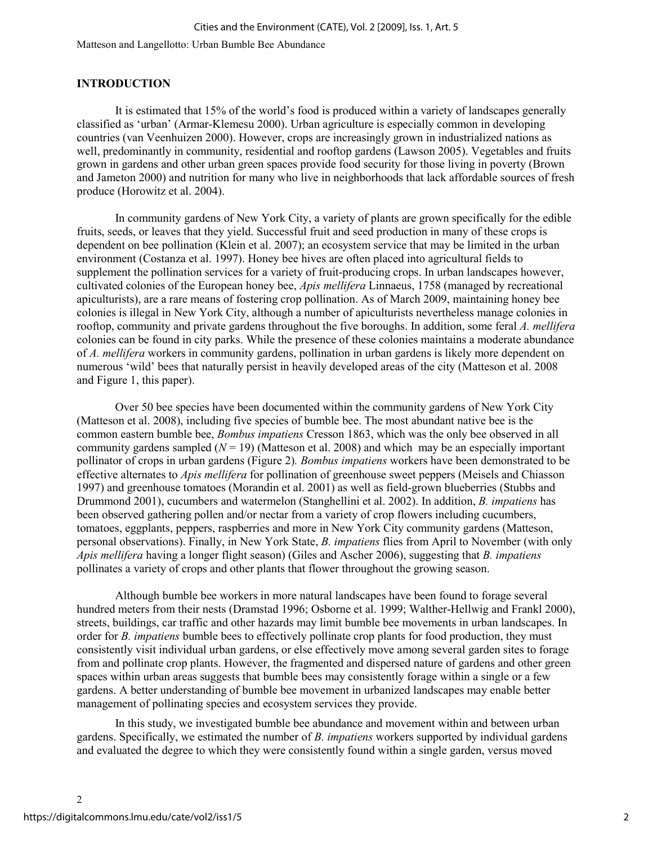#### INTRODUCTION

It is estimated that 15% of the world's food is produced within a variety of landscapes generally classified as 'urban' (Armar-Klemesu 2000). Urban agriculture is especially common in developing countries (van Veenhuizen 2000). However, crops are increasingly grown in industrialized nations as well, predominantly in community, residential and rooftop gardens (Lawson 2005). Vegetables and fruits grown in gardens and other urban green spaces provide food security for those living in poverty (Brown and Jameton 2000) and nutrition for many who live in neighborhoods that lack affordable sources of fresh produce (Horowitz et al. 2004).

In community gardens of New York City, a variety of plants are grown specifically for the edible fruits, seeds, or leaves that they yield. Successful fruit and seed production in many of these crops is dependent on bee pollination (Klein et al. 2007); an ecosystem service that may be limited in the urban environment (Costanza et al. 1997). Honey bee hives are often placed into agricultural fields to supplement the pollination services for a variety of fruit-producing crops. In urban landscapes however, cultivated colonies of the European honey bee, Apis mellifera Linnaeus, 1758 (managed by recreational apiculturists), are a rare means of fostering crop pollination. As of March 2009, maintaining honey bee colonies is illegal in New York City, although a number of apiculturists nevertheless manage colonies in rooftop, community and private gardens throughout the five boroughs. In addition, some feral A. mellifera colonies can be found in city parks. While the presence of these colonies maintains a moderate abundance of A. mellifera workers in community gardens, pollination in urban gardens is likely more dependent on numerous 'wild' bees that naturally persist in heavily developed areas of the city (Matteson et al. 2008 and Figure 1, this paper).

Over 50 bee species have been documented within the community gardens of New York City (Matteson et al. 2008), including five species of bumble bee. The most abundant native bee is the common eastern bumble bee, Bombus impatiens Cresson 1863, which was the only bee observed in all community gardens sampled  $(N = 19)$  (Matteson et al. 2008) and which may be an especially important pollinator of crops in urban gardens (Figure 2). Bombus impatiens workers have been demonstrated to be effective alternates to Apis mellifera for pollination of greenhouse sweet peppers (Meisels and Chiasson 1997) and greenhouse tomatoes (Morandin et al. 2001) as well as field-grown blueberries (Stubbs and Drummond 2001), cucumbers and watermelon (Stanghellini et al. 2002). In addition, B. impatiens has been observed gathering pollen and/or nectar from a variety of crop flowers including cucumbers, tomatoes, eggplants, peppers, raspberries and more in New York City community gardens (Matteson, personal observations). Finally, in New York State, B. impatiens flies from April to November (with only Apis mellifera having a longer flight season) (Giles and Ascher 2006), suggesting that B. impatiens pollinates a variety of crops and other plants that flower throughout the growing season.

Although bumble bee workers in more natural landscapes have been found to forage several hundred meters from their nests (Dramstad 1996; Osborne et al. 1999; Walther-Hellwig and Frankl 2000), streets, buildings, car traffic and other hazards may limit bumble bee movements in urban landscapes. In order for B. *impatiens* bumble bees to effectively pollinate crop plants for food production, they must consistently visit individual urban gardens, or else effectively move among several garden sites to forage from and pollinate crop plants. However, the fragmented and dispersed nature of gardens and other green spaces within urban areas suggests that bumble bees may consistently forage within a single or a few gardens. A better understanding of bumble bee movement in urbanized landscapes may enable better management of pollinating species and ecosystem services they provide.

In this study, we investigated bumble bee abundance and movement within and between urban gardens. Specifically, we estimated the number of B. impatiens workers supported by individual gardens and evaluated the degree to which they were consistently found within a single garden, versus moved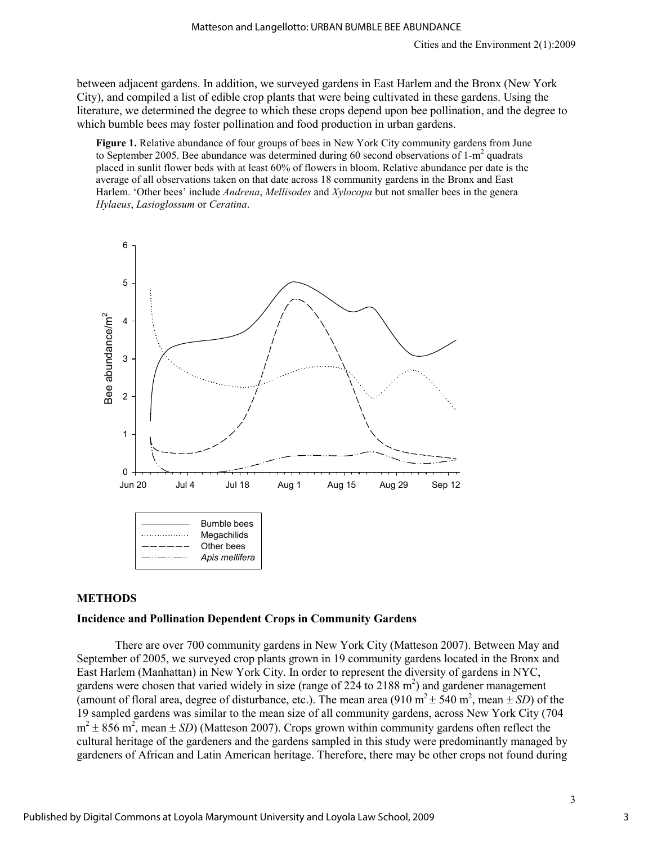between adjacent gardens. In addition, we surveyed gardens in East Harlem and the Bronx (New York City), and compiled a list of edible crop plants that were being cultivated in these gardens. Using the literature, we determined the degree to which these crops depend upon bee pollination, and the degree to which bumble bees may foster pollination and food production in urban gardens.

Figure 1. Relative abundance of four groups of bees in New York City community gardens from June to September 2005. Bee abundance was determined during 60 second observations of  $1-m^2$  quadrats placed in sunlit flower beds with at least 60% of flowers in bloom. Relative abundance per date is the average of all observations taken on that date across 18 community gardens in the Bronx and East Harlem. 'Other bees' include *Andrena*, Mellisodes and Xylocopa but not smaller bees in the genera Hylaeus, Lasioglossum or Ceratina.



#### METHODS

#### Incidence and Pollination Dependent Crops in Community Gardens

There are over 700 community gardens in New York City (Matteson 2007). Between May and September of 2005, we surveyed crop plants grown in 19 community gardens located in the Bronx and East Harlem (Manhattan) in New York City. In order to represent the diversity of gardens in NYC, gardens were chosen that varied widely in size (range of  $224$  to  $2188$  m<sup>2</sup>) and gardener management (amount of floral area, degree of disturbance, etc.). The mean area (910 m<sup>2</sup>  $\pm$  540 m<sup>2</sup>, mean  $\pm$  SD) of the 19 sampled gardens was similar to the mean size of all community gardens, across New York City (704  $m<sup>2</sup> \pm 856$  m<sup>2</sup>, mean  $\pm$  SD) (Matteson 2007). Crops grown within community gardens often reflect the cultural heritage of the gardeners and the gardens sampled in this study were predominantly managed by gardeners of African and Latin American heritage. Therefore, there may be other crops not found during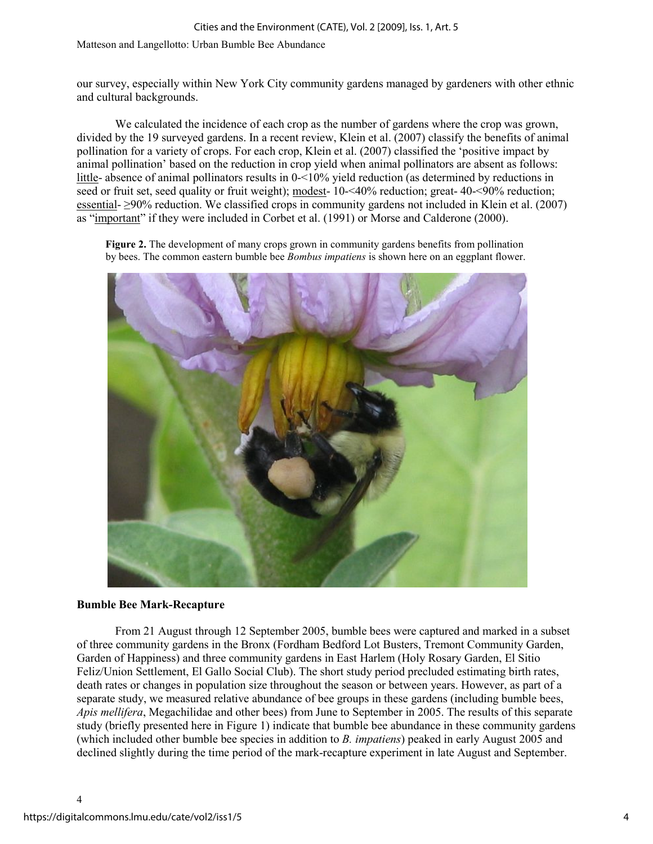#### Cities and the Environment (CATE), Vol. 2 [2009], Iss. 1, Art. 5

Matteson and Langellotto: Urban Bumble Bee Abundance

our survey, especially within New York City community gardens managed by gardeners with other ethnic and cultural backgrounds.

We calculated the incidence of each crop as the number of gardens where the crop was grown, divided by the 19 surveyed gardens. In a recent review, Klein et al. (2007) classify the benefits of animal pollination for a variety of crops. For each crop, Klein et al. (2007) classified the 'positive impact by animal pollination' based on the reduction in crop yield when animal pollinators are absent as follows: little- absence of animal pollinators results in 0-<10% yield reduction (as determined by reductions in seed or fruit set, seed quality or fruit weight); modest- 10-<40% reduction; great- 40-<90% reduction; essential- ≥90% reduction. We classified crops in community gardens not included in Klein et al. (2007) as "important" if they were included in Corbet et al. (1991) or Morse and Calderone (2000).

Figure 2. The development of many crops grown in community gardens benefits from pollination by bees. The common eastern bumble bee *Bombus impatiens* is shown here on an eggplant flower.



#### Bumble Bee Mark-Recapture

From 21 August through 12 September 2005, bumble bees were captured and marked in a subset of three community gardens in the Bronx (Fordham Bedford Lot Busters, Tremont Community Garden, Garden of Happiness) and three community gardens in East Harlem (Holy Rosary Garden, El Sitio Feliz/Union Settlement, El Gallo Social Club). The short study period precluded estimating birth rates, death rates or changes in population size throughout the season or between years. However, as part of a separate study, we measured relative abundance of bee groups in these gardens (including bumble bees, Apis mellifera, Megachilidae and other bees) from June to September in 2005. The results of this separate study (briefly presented here in Figure 1) indicate that bumble bee abundance in these community gardens (which included other bumble bee species in addition to B. impatiens) peaked in early August 2005 and declined slightly during the time period of the mark-recapture experiment in late August and September.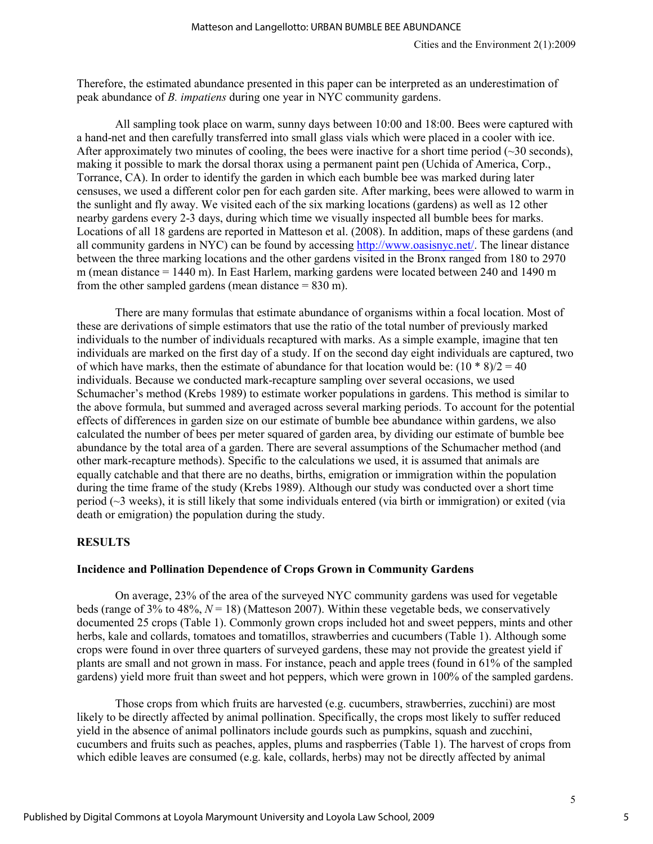Therefore, the estimated abundance presented in this paper can be interpreted as an underestimation of peak abundance of B. impatiens during one year in NYC community gardens.

All sampling took place on warm, sunny days between 10:00 and 18:00. Bees were captured with a hand-net and then carefully transferred into small glass vials which were placed in a cooler with ice. After approximately two minutes of cooling, the bees were inactive for a short time period ( $\sim$ 30 seconds), making it possible to mark the dorsal thorax using a permanent paint pen (Uchida of America, Corp., Torrance, CA). In order to identify the garden in which each bumble bee was marked during later censuses, we used a different color pen for each garden site. After marking, bees were allowed to warm in the sunlight and fly away. We visited each of the six marking locations (gardens) as well as 12 other nearby gardens every 2-3 days, during which time we visually inspected all bumble bees for marks. Locations of all 18 gardens are reported in Matteson et al. (2008). In addition, maps of these gardens (and all community gardens in NYC) can be found by accessing http://www.oasisnyc.net/. The linear distance between the three marking locations and the other gardens visited in the Bronx ranged from 180 to 2970 m (mean distance = 1440 m). In East Harlem, marking gardens were located between 240 and 1490 m from the other sampled gardens (mean distance  $= 830$  m).

There are many formulas that estimate abundance of organisms within a focal location. Most of these are derivations of simple estimators that use the ratio of the total number of previously marked individuals to the number of individuals recaptured with marks. As a simple example, imagine that ten individuals are marked on the first day of a study. If on the second day eight individuals are captured, two of which have marks, then the estimate of abundance for that location would be:  $(10 * 8)/2 = 40$ individuals. Because we conducted mark-recapture sampling over several occasions, we used Schumacher's method (Krebs 1989) to estimate worker populations in gardens. This method is similar to the above formula, but summed and averaged across several marking periods. To account for the potential effects of differences in garden size on our estimate of bumble bee abundance within gardens, we also calculated the number of bees per meter squared of garden area, by dividing our estimate of bumble bee abundance by the total area of a garden. There are several assumptions of the Schumacher method (and other mark-recapture methods). Specific to the calculations we used, it is assumed that animals are equally catchable and that there are no deaths, births, emigration or immigration within the population during the time frame of the study (Krebs 1989). Although our study was conducted over a short time period (~3 weeks), it is still likely that some individuals entered (via birth or immigration) or exited (via death or emigration) the population during the study.

#### **RESULTS**

#### Incidence and Pollination Dependence of Crops Grown in Community Gardens

 On average, 23% of the area of the surveyed NYC community gardens was used for vegetable beds (range of 3% to 48%,  $N = 18$ ) (Matteson 2007). Within these vegetable beds, we conservatively documented 25 crops (Table 1). Commonly grown crops included hot and sweet peppers, mints and other herbs, kale and collards, tomatoes and tomatillos, strawberries and cucumbers (Table 1). Although some crops were found in over three quarters of surveyed gardens, these may not provide the greatest yield if plants are small and not grown in mass. For instance, peach and apple trees (found in 61% of the sampled gardens) yield more fruit than sweet and hot peppers, which were grown in 100% of the sampled gardens.

Those crops from which fruits are harvested (e.g. cucumbers, strawberries, zucchini) are most likely to be directly affected by animal pollination. Specifically, the crops most likely to suffer reduced yield in the absence of animal pollinators include gourds such as pumpkins, squash and zucchini, cucumbers and fruits such as peaches, apples, plums and raspberries (Table 1). The harvest of crops from which edible leaves are consumed (e.g. kale, collards, herbs) may not be directly affected by animal

5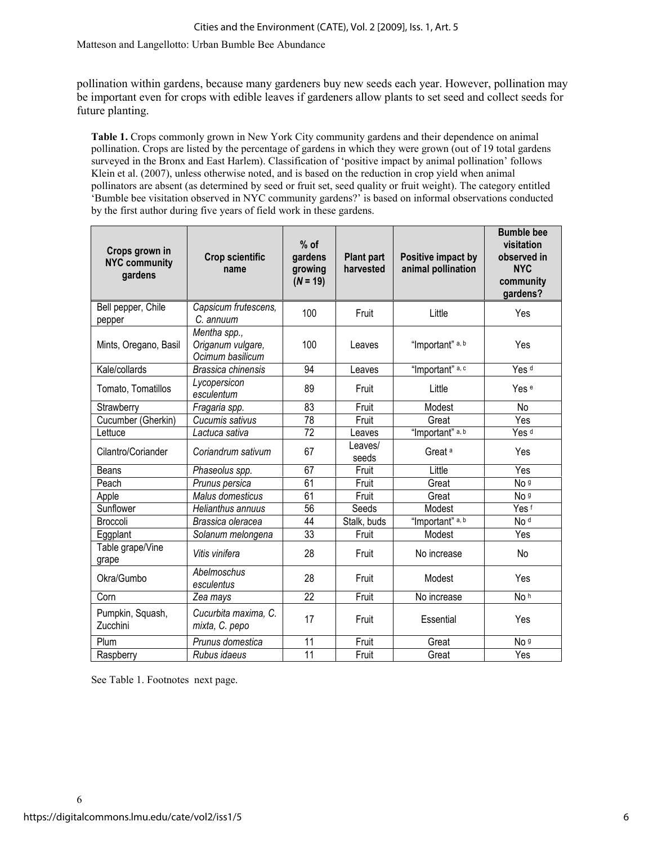pollination within gardens, because many gardeners buy new seeds each year. However, pollination may be important even for crops with edible leaves if gardeners allow plants to set seed and collect seeds for future planting.

Table 1. Crops commonly grown in New York City community gardens and their dependence on animal pollination. Crops are listed by the percentage of gardens in which they were grown (out of 19 total gardens surveyed in the Bronx and East Harlem). Classification of 'positive impact by animal pollination' follows Klein et al. (2007), unless otherwise noted, and is based on the reduction in crop yield when animal pollinators are absent (as determined by seed or fruit set, seed quality or fruit weight). The category entitled 'Bumble bee visitation observed in NYC community gardens?' is based on informal observations conducted by the first author during five years of field work in these gardens.

| Crops grown in<br><b>NYC community</b><br>gardens | <b>Crop scientific</b><br>name                        | $%$ of<br>gardens<br>growing<br>$(N = 19)$ | <b>Plant part</b><br>harvested | Positive impact by<br>animal pollination | <b>Bumble bee</b><br>visitation<br>observed in<br><b>NYC</b><br>community<br>gardens? |
|---------------------------------------------------|-------------------------------------------------------|--------------------------------------------|--------------------------------|------------------------------------------|---------------------------------------------------------------------------------------|
| Bell pepper, Chile<br>pepper                      | Capsicum frutescens,<br>C. annuum                     | 100                                        | Fruit                          | Little                                   | Yes                                                                                   |
| Mints, Oregano, Basil                             | Mentha spp.,<br>Origanum vulgare,<br>Ocimum basilicum | 100                                        | Leaves                         | "Important" a, b                         | Yes                                                                                   |
| Kale/collards                                     | Brassica chinensis                                    | 94                                         | Leaves                         | "Important" a, c                         | Yes <sup>d</sup>                                                                      |
| Tomato, Tomatillos                                | Lycopersicon<br>esculentum                            | 89                                         | Fruit                          | Little                                   | Yes <sup>e</sup>                                                                      |
| Strawberry                                        | Fragaria spp.                                         | 83                                         | Fruit                          | Modest                                   | No                                                                                    |
| Cucumber (Gherkin)                                | Cucumis sativus                                       | 78                                         | Fruit                          | Great                                    | Yes                                                                                   |
| Lettuce                                           | Lactuca sativa                                        | $\overline{72}$                            | Leaves                         | "Important" a, b                         | Yes <sup>d</sup>                                                                      |
| Cilantro/Coriander                                | Coriandrum sativum                                    | 67                                         | Leaves/<br>seeds               | Great <sup>a</sup>                       | Yes                                                                                   |
| <b>Beans</b>                                      | Phaseolus spp.                                        | 67                                         | Fruit                          | Little                                   | Yes                                                                                   |
| Peach                                             | Prunus persica                                        | 61                                         | Fruit                          | Great                                    | No <sub>9</sub>                                                                       |
| Apple                                             | Malus domesticus                                      | 61                                         | Fruit                          | Great                                    | No <sub>9</sub>                                                                       |
| Sunflower                                         | Helianthus annuus                                     | 56                                         | Seeds                          | Modest                                   | Yes <sup>f</sup>                                                                      |
| Broccoli                                          | Brassica oleracea                                     | 44                                         | Stalk, buds                    | "Important" a, b                         | No <sup>d</sup>                                                                       |
| Eggplant                                          | Solanum melongena                                     | 33                                         | Fruit                          | Modest                                   | Yes                                                                                   |
| Table grape/Vine<br>grape                         | Vitis vinifera                                        | 28                                         | Fruit                          | No increase                              | No                                                                                    |
| Okra/Gumbo                                        | Abelmoschus<br>esculentus                             | 28                                         | Fruit                          | Modest                                   | Yes                                                                                   |
| Corn                                              | Zea mays                                              | 22                                         | Fruit                          | No increase                              | No h                                                                                  |
| Pumpkin, Squash,<br>Zucchini                      | Cucurbita maxima, C.<br>mixta, C. pepo                | 17                                         | Fruit                          | Essential                                | Yes                                                                                   |
| Plum                                              | Prunus domestica                                      | 11                                         | Fruit                          | Great                                    | No <sub>9</sub>                                                                       |
| Raspberry                                         | Rubus idaeus                                          | 11                                         | Fruit                          | Great                                    | Yes                                                                                   |

See Table 1. Footnotes next page.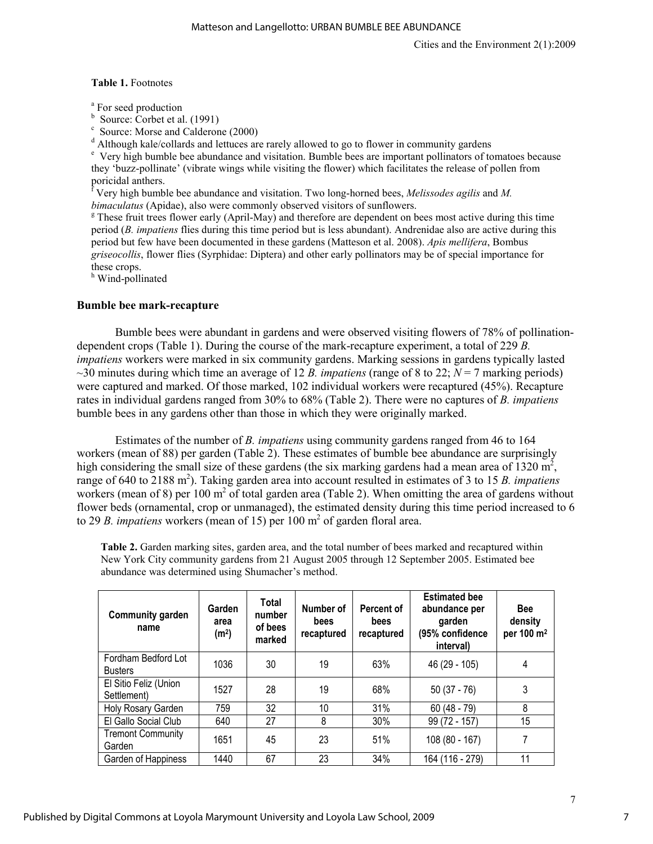#### Table 1. Footnotes

<sup>a</sup> For seed production

b Source: Corbet et al. (1991)

c Source: Morse and Calderone (2000)

<sup>d</sup> Although kale/collards and lettuces are rarely allowed to go to flower in community gardens

<sup>e</sup> Very high bumble bee abundance and visitation. Bumble bees are important pollinators of tomatoes because they 'buzz-pollinate' (vibrate wings while visiting the flower) which facilitates the release of pollen from poricidal anthers.

<sup>f</sup> Very high bumble bee abundance and visitation. Two long-horned bees, *Melissodes agilis* and *M*. bimaculatus (Apidae), also were commonly observed visitors of sunflowers.

<sup>g</sup> These fruit trees flower early (April-May) and therefore are dependent on bees most active during this time period (B. impatiens flies during this time period but is less abundant). Andrenidae also are active during this period but few have been documented in these gardens (Matteson et al. 2008). Apis mellifera, Bombus griseocollis, flower flies (Syrphidae: Diptera) and other early pollinators may be of special importance for these crops.

<sup>h</sup> Wind-pollinated

#### Bumble bee mark-recapture

Bumble bees were abundant in gardens and were observed visiting flowers of 78% of pollinationdependent crops (Table 1). During the course of the mark-recapture experiment, a total of 229 B. impatiens workers were marked in six community gardens. Marking sessions in gardens typically lasted ~30 minutes during which time an average of 12 B. *impatiens* (range of 8 to 22;  $N = 7$  marking periods) were captured and marked. Of those marked, 102 individual workers were recaptured (45%). Recapture rates in individual gardens ranged from 30% to 68% (Table 2). There were no captures of B. impatiens bumble bees in any gardens other than those in which they were originally marked.

Estimates of the number of B. impatiens using community gardens ranged from 46 to 164 workers (mean of 88) per garden (Table 2). These estimates of bumble bee abundance are surprisingly high considering the small size of these gardens (the six marking gardens had a mean area of  $1320 \text{ m}^2$ , range of 640 to 2188 m<sup>2</sup>). Taking garden area into account resulted in estimates of 3 to 15 B. impatiens workers (mean of 8) per 100  $m<sup>2</sup>$  of total garden area (Table 2). When omitting the area of gardens without flower beds (ornamental, crop or unmanaged), the estimated density during this time period increased to 6 to 29 B. impatiens workers (mean of 15) per 100  $m<sup>2</sup>$  of garden floral area.

Table 2. Garden marking sites, garden area, and the total number of bees marked and recaptured within New York City community gardens from 21 August 2005 through 12 September 2005. Estimated bee abundance was determined using Shumacher's method.

| <b>Community garden</b><br>name       | Garden<br>area<br>(m <sup>2</sup> ) | Total<br>number<br>of bees<br>marked | Number of<br>bees<br>recaptured | Percent of<br>bees<br>recaptured | <b>Estimated bee</b><br>abundance per<br>garden<br>(95% confidence<br>interval) | <b>Bee</b><br>density<br>per 100 m <sup>2</sup> |
|---------------------------------------|-------------------------------------|--------------------------------------|---------------------------------|----------------------------------|---------------------------------------------------------------------------------|-------------------------------------------------|
| Fordham Bedford Lot<br><b>Busters</b> | 1036                                | 30                                   | 19                              | 63%                              | 46 (29 - 105)                                                                   | 4                                               |
| El Sitio Feliz (Union<br>Settlement)  | 1527                                | 28                                   | 19                              | 68%                              | $50(37 - 76)$                                                                   | 3                                               |
| Holy Rosary Garden                    | 759                                 | 32                                   | 10                              | 31%                              | $60(48 - 79)$                                                                   | 8                                               |
| El Gallo Social Club                  | 640                                 | 27                                   | 8                               | 30%                              | 99 (72 - 157)                                                                   | 15                                              |
| <b>Tremont Community</b><br>Garden    | 1651                                | 45                                   | 23                              | 51%                              | $108(80 - 167)$                                                                 | 7                                               |
| Garden of Happiness                   | 1440                                | 67                                   | 23                              | 34%                              | 164 (116 - 279)                                                                 | 11                                              |

7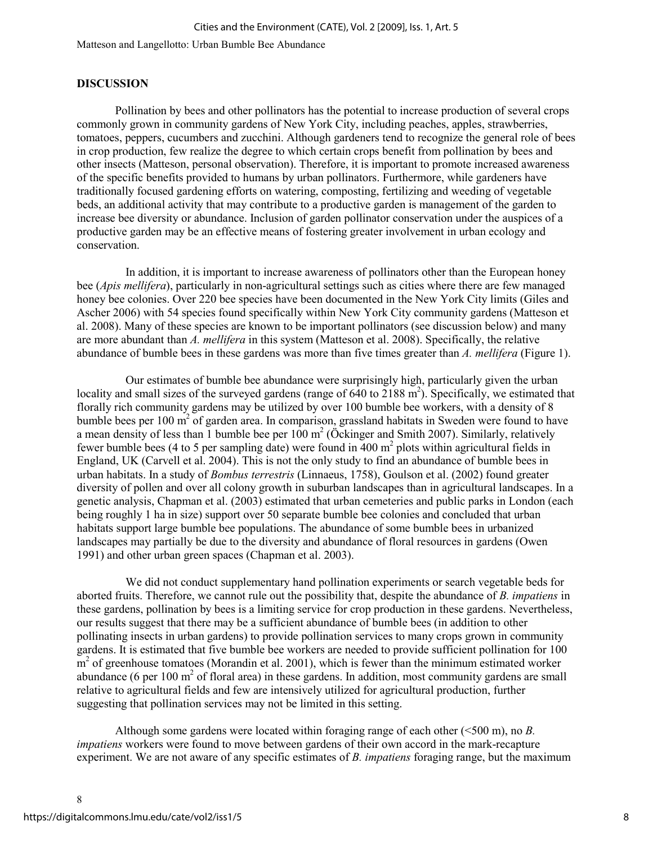#### DISCUSSION

Pollination by bees and other pollinators has the potential to increase production of several crops commonly grown in community gardens of New York City, including peaches, apples, strawberries, tomatoes, peppers, cucumbers and zucchini. Although gardeners tend to recognize the general role of bees in crop production, few realize the degree to which certain crops benefit from pollination by bees and other insects (Matteson, personal observation). Therefore, it is important to promote increased awareness of the specific benefits provided to humans by urban pollinators. Furthermore, while gardeners have traditionally focused gardening efforts on watering, composting, fertilizing and weeding of vegetable beds, an additional activity that may contribute to a productive garden is management of the garden to increase bee diversity or abundance. Inclusion of garden pollinator conservation under the auspices of a productive garden may be an effective means of fostering greater involvement in urban ecology and conservation.

 In addition, it is important to increase awareness of pollinators other than the European honey bee (Apis mellifera), particularly in non-agricultural settings such as cities where there are few managed honey bee colonies. Over 220 bee species have been documented in the New York City limits (Giles and Ascher 2006) with 54 species found specifically within New York City community gardens (Matteson et al. 2008). Many of these species are known to be important pollinators (see discussion below) and many are more abundant than A. mellifera in this system (Matteson et al. 2008). Specifically, the relative abundance of bumble bees in these gardens was more than five times greater than A. mellifera (Figure 1).

 Our estimates of bumble bee abundance were surprisingly high, particularly given the urban locality and small sizes of the surveyed gardens (range of  $640$  to  $2188$  m<sup>2</sup>). Specifically, we estimated that florally rich community gardens may be utilized by over 100 bumble bee workers, with a density of 8 bumble bees per 100  $\text{m}^2$  of garden area. In comparison, grassland habitats in Sweden were found to have a mean density of less than 1 bumble bee per  $100 \text{ m}^2$  (Öckinger and Smith 2007). Similarly, relatively fewer bumble bees (4 to 5 per sampling date) were found in  $400 \text{ m}^2$  plots within agricultural fields in England, UK (Carvell et al. 2004). This is not the only study to find an abundance of bumble bees in urban habitats. In a study of Bombus terrestris (Linnaeus, 1758), Goulson et al. (2002) found greater diversity of pollen and over all colony growth in suburban landscapes than in agricultural landscapes. In a genetic analysis, Chapman et al. (2003) estimated that urban cemeteries and public parks in London (each being roughly 1 ha in size) support over 50 separate bumble bee colonies and concluded that urban habitats support large bumble bee populations. The abundance of some bumble bees in urbanized landscapes may partially be due to the diversity and abundance of floral resources in gardens (Owen 1991) and other urban green spaces (Chapman et al. 2003).

 We did not conduct supplementary hand pollination experiments or search vegetable beds for aborted fruits. Therefore, we cannot rule out the possibility that, despite the abundance of B. impatiens in these gardens, pollination by bees is a limiting service for crop production in these gardens. Nevertheless, our results suggest that there may be a sufficient abundance of bumble bees (in addition to other pollinating insects in urban gardens) to provide pollination services to many crops grown in community gardens. It is estimated that five bumble bee workers are needed to provide sufficient pollination for 100 m<sup>2</sup> of greenhouse tomatoes (Morandin et al. 2001), which is fewer than the minimum estimated worker abundance (6 per 100  $m<sup>2</sup>$  of floral area) in these gardens. In addition, most community gardens are small relative to agricultural fields and few are intensively utilized for agricultural production, further suggesting that pollination services may not be limited in this setting.

Although some gardens were located within foraging range of each other  $( $500 \text{ m}$ ), no B.$ impatiens workers were found to move between gardens of their own accord in the mark-recapture experiment. We are not aware of any specific estimates of  $B$ , *impatiens* foraging range, but the maximum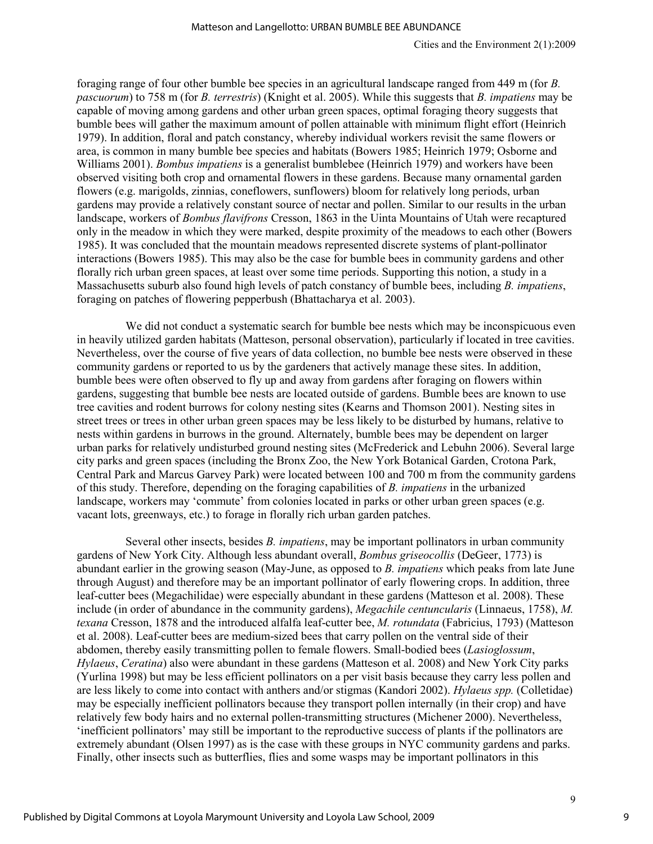foraging range of four other bumble bee species in an agricultural landscape ranged from 449 m (for B. pascuorum) to 758 m (for B. terrestris) (Knight et al. 2005). While this suggests that B. impatiens may be capable of moving among gardens and other urban green spaces, optimal foraging theory suggests that bumble bees will gather the maximum amount of pollen attainable with minimum flight effort (Heinrich 1979). In addition, floral and patch constancy, whereby individual workers revisit the same flowers or area, is common in many bumble bee species and habitats (Bowers 1985; Heinrich 1979; Osborne and Williams 2001). Bombus impatiens is a generalist bumblebee (Heinrich 1979) and workers have been observed visiting both crop and ornamental flowers in these gardens. Because many ornamental garden flowers (e.g. marigolds, zinnias, coneflowers, sunflowers) bloom for relatively long periods, urban gardens may provide a relatively constant source of nectar and pollen. Similar to our results in the urban landscape, workers of *Bombus flavifrons* Cresson, 1863 in the Uinta Mountains of Utah were recaptured only in the meadow in which they were marked, despite proximity of the meadows to each other (Bowers 1985). It was concluded that the mountain meadows represented discrete systems of plant-pollinator interactions (Bowers 1985). This may also be the case for bumble bees in community gardens and other florally rich urban green spaces, at least over some time periods. Supporting this notion, a study in a Massachusetts suburb also found high levels of patch constancy of bumble bees, including B. impatiens, foraging on patches of flowering pepperbush (Bhattacharya et al. 2003).

We did not conduct a systematic search for bumble bee nests which may be inconspicuous even in heavily utilized garden habitats (Matteson, personal observation), particularly if located in tree cavities. Nevertheless, over the course of five years of data collection, no bumble bee nests were observed in these community gardens or reported to us by the gardeners that actively manage these sites. In addition, bumble bees were often observed to fly up and away from gardens after foraging on flowers within gardens, suggesting that bumble bee nests are located outside of gardens. Bumble bees are known to use tree cavities and rodent burrows for colony nesting sites (Kearns and Thomson 2001). Nesting sites in street trees or trees in other urban green spaces may be less likely to be disturbed by humans, relative to nests within gardens in burrows in the ground. Alternately, bumble bees may be dependent on larger urban parks for relatively undisturbed ground nesting sites (McFrederick and Lebuhn 2006). Several large city parks and green spaces (including the Bronx Zoo, the New York Botanical Garden, Crotona Park, Central Park and Marcus Garvey Park) were located between 100 and 700 m from the community gardens of this study. Therefore, depending on the foraging capabilities of B. impatiens in the urbanized landscape, workers may 'commute' from colonies located in parks or other urban green spaces (e.g. vacant lots, greenways, etc.) to forage in florally rich urban garden patches.

Several other insects, besides *B. impatiens*, may be important pollinators in urban community gardens of New York City. Although less abundant overall, Bombus griseocollis (DeGeer, 1773) is abundant earlier in the growing season (May-June, as opposed to B. impatiens which peaks from late June through August) and therefore may be an important pollinator of early flowering crops. In addition, three leaf-cutter bees (Megachilidae) were especially abundant in these gardens (Matteson et al. 2008). These include (in order of abundance in the community gardens), Megachile centuncularis (Linnaeus, 1758), M. texana Cresson, 1878 and the introduced alfalfa leaf-cutter bee, M. rotundata (Fabricius, 1793) (Matteson et al. 2008). Leaf-cutter bees are medium-sized bees that carry pollen on the ventral side of their abdomen, thereby easily transmitting pollen to female flowers. Small-bodied bees (Lasioglossum, Hylaeus, Ceratina) also were abundant in these gardens (Matteson et al. 2008) and New York City parks (Yurlina 1998) but may be less efficient pollinators on a per visit basis because they carry less pollen and are less likely to come into contact with anthers and/or stigmas (Kandori 2002). Hylaeus spp. (Colletidae) may be especially inefficient pollinators because they transport pollen internally (in their crop) and have relatively few body hairs and no external pollen-transmitting structures (Michener 2000). Nevertheless, 'inefficient pollinators' may still be important to the reproductive success of plants if the pollinators are extremely abundant (Olsen 1997) as is the case with these groups in NYC community gardens and parks. Finally, other insects such as butterflies, flies and some wasps may be important pollinators in this

9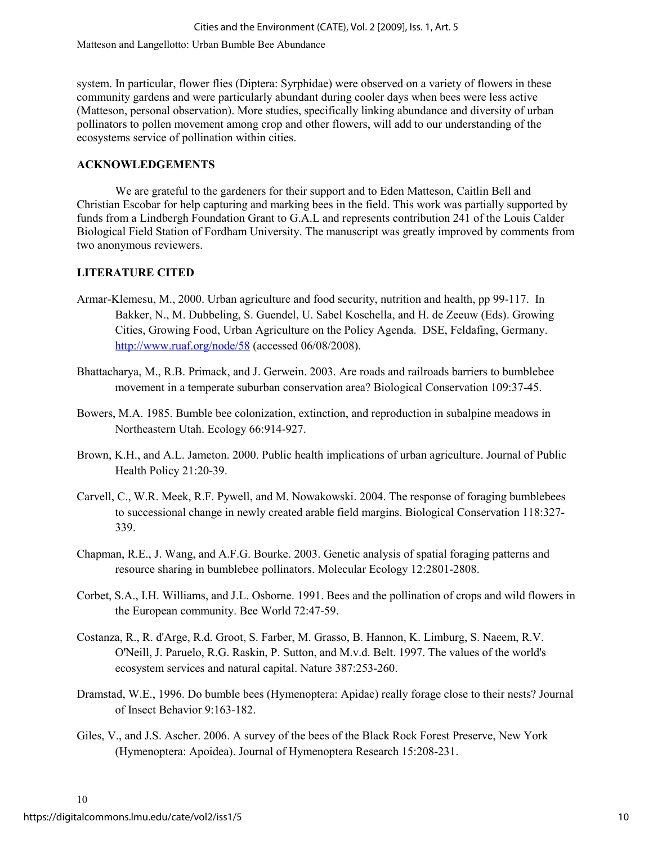system. In particular, flower flies (Diptera: Syrphidae) were observed on a variety of flowers in these community gardens and were particularly abundant during cooler days when bees were less active (Matteson, personal observation). More studies, specifically linking abundance and diversity of urban pollinators to pollen movement among crop and other flowers, will add to our understanding of the ecosystems service of pollination within cities.

#### ACKNOWLEDGEMENTS

We are grateful to the gardeners for their support and to Eden Matteson, Caitlin Bell and Christian Escobar for help capturing and marking bees in the field. This work was partially supported by funds from a Lindbergh Foundation Grant to G.A.L and represents contribution 241 of the Louis Calder Biological Field Station of Fordham University. The manuscript was greatly improved by comments from two anonymous reviewers.

#### LITERATURE CITED

- Armar-Klemesu, M., 2000. Urban agriculture and food security, nutrition and health, pp 99-117. In Bakker, N., M. Dubbeling, S. Guendel, U. Sabel Koschella, and H. de Zeeuw (Eds). Growing Cities, Growing Food, Urban Agriculture on the Policy Agenda. DSE, Feldafing, Germany. http://www.ruaf.org/node/58 (accessed 06/08/2008).
- Bhattacharya, M., R.B. Primack, and J. Gerwein. 2003. Are roads and railroads barriers to bumblebee movement in a temperate suburban conservation area? Biological Conservation 109:37-45.
- Bowers, M.A. 1985. Bumble bee colonization, extinction, and reproduction in subalpine meadows in Northeastern Utah. Ecology 66:914-927.
- Brown, K.H., and A.L. Jameton. 2000. Public health implications of urban agriculture. Journal of Public Health Policy 21:20-39.
- Carvell, C., W.R. Meek, R.F. Pywell, and M. Nowakowski. 2004. The response of foraging bumblebees to successional change in newly created arable field margins. Biological Conservation 118:327- 339.
- Chapman, R.E., J. Wang, and A.F.G. Bourke. 2003. Genetic analysis of spatial foraging patterns and resource sharing in bumblebee pollinators. Molecular Ecology 12:2801-2808.
- Corbet, S.A., I.H. Williams, and J.L. Osborne. 1991. Bees and the pollination of crops and wild flowers in the European community. Bee World 72:47-59.
- Costanza, R., R. d'Arge, R.d. Groot, S. Farber, M. Grasso, B. Hannon, K. Limburg, S. Naeem, R.V. O'Neill, J. Paruelo, R.G. Raskin, P. Sutton, and M.v.d. Belt. 1997. The values of the world's ecosystem services and natural capital. Nature 387:253-260.
- Dramstad, W.E., 1996. Do bumble bees (Hymenoptera: Apidae) really forage close to their nests? Journal of Insect Behavior 9:163-182.
- Giles, V., and J.S. Ascher. 2006. A survey of the bees of the Black Rock Forest Preserve, New York (Hymenoptera: Apoidea). Journal of Hymenoptera Research 15:208-231.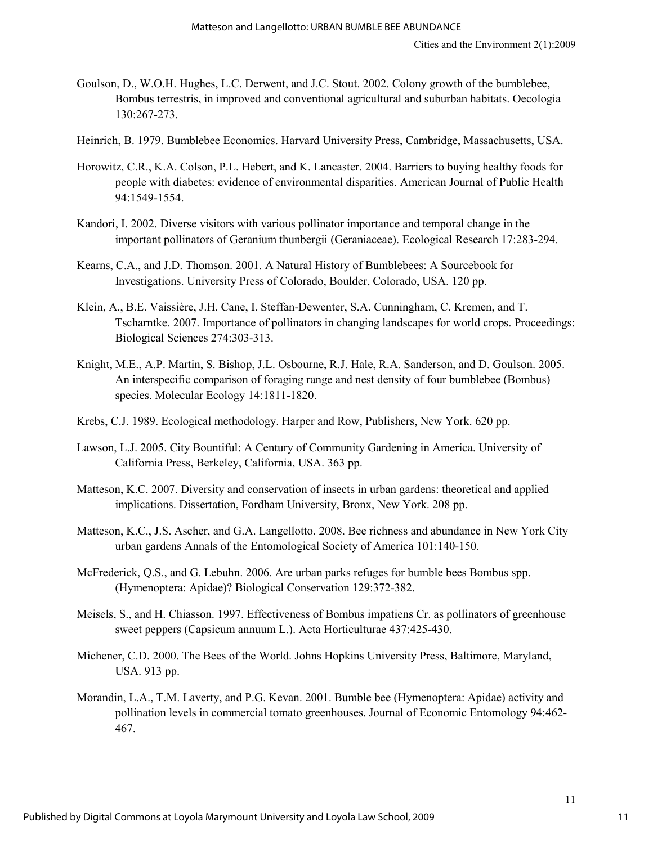- Goulson, D., W.O.H. Hughes, L.C. Derwent, and J.C. Stout. 2002. Colony growth of the bumblebee, Bombus terrestris, in improved and conventional agricultural and suburban habitats. Oecologia 130:267-273.
- Heinrich, B. 1979. Bumblebee Economics. Harvard University Press, Cambridge, Massachusetts, USA.
- Horowitz, C.R., K.A. Colson, P.L. Hebert, and K. Lancaster. 2004. Barriers to buying healthy foods for people with diabetes: evidence of environmental disparities. American Journal of Public Health 94:1549-1554.
- Kandori, I. 2002. Diverse visitors with various pollinator importance and temporal change in the important pollinators of Geranium thunbergii (Geraniaceae). Ecological Research 17:283-294.
- Kearns, C.A., and J.D. Thomson. 2001. A Natural History of Bumblebees: A Sourcebook for Investigations. University Press of Colorado, Boulder, Colorado, USA. 120 pp.
- Klein, A., B.E. Vaissière, J.H. Cane, I. Steffan-Dewenter, S.A. Cunningham, C. Kremen, and T. Tscharntke. 2007. Importance of pollinators in changing landscapes for world crops. Proceedings: Biological Sciences 274:303-313.
- Knight, M.E., A.P. Martin, S. Bishop, J.L. Osbourne, R.J. Hale, R.A. Sanderson, and D. Goulson. 2005. An interspecific comparison of foraging range and nest density of four bumblebee (Bombus) species. Molecular Ecology 14:1811-1820.
- Krebs, C.J. 1989. Ecological methodology. Harper and Row, Publishers, New York. 620 pp.
- Lawson, L.J. 2005. City Bountiful: A Century of Community Gardening in America. University of California Press, Berkeley, California, USA. 363 pp.
- Matteson, K.C. 2007. Diversity and conservation of insects in urban gardens: theoretical and applied implications. Dissertation, Fordham University, Bronx, New York. 208 pp.
- Matteson, K.C., J.S. Ascher, and G.A. Langellotto. 2008. Bee richness and abundance in New York City urban gardens Annals of the Entomological Society of America 101:140-150.
- McFrederick, Q.S., and G. Lebuhn. 2006. Are urban parks refuges for bumble bees Bombus spp. (Hymenoptera: Apidae)? Biological Conservation 129:372-382.
- Meisels, S., and H. Chiasson. 1997. Effectiveness of Bombus impatiens Cr. as pollinators of greenhouse sweet peppers (Capsicum annuum L.). Acta Horticulturae 437:425-430.
- Michener, C.D. 2000. The Bees of the World. Johns Hopkins University Press, Baltimore, Maryland, USA. 913 pp.
- Morandin, L.A., T.M. Laverty, and P.G. Kevan. 2001. Bumble bee (Hymenoptera: Apidae) activity and pollination levels in commercial tomato greenhouses. Journal of Economic Entomology 94:462- 467.